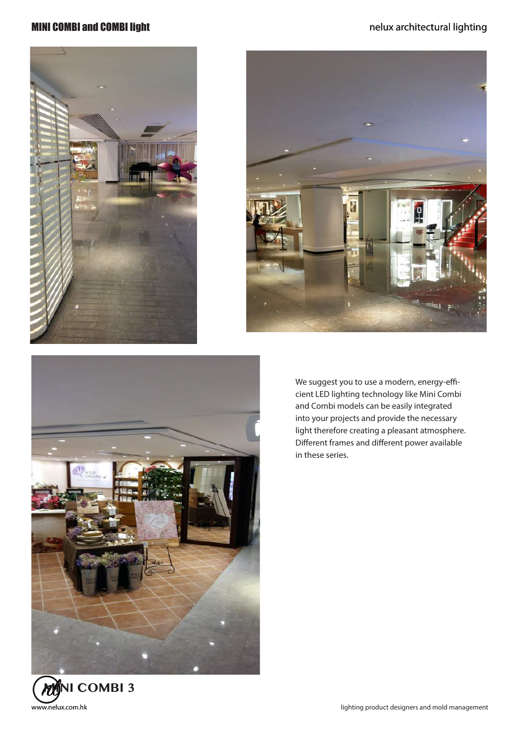





We suggest you to use a modern, energy-efficient LED lighting technology like Mini Combi and Combi models can be easily integrated into your projects and provide the necessary light therefore creating a pleasant atmosphere. Different frames and different power available in these series.

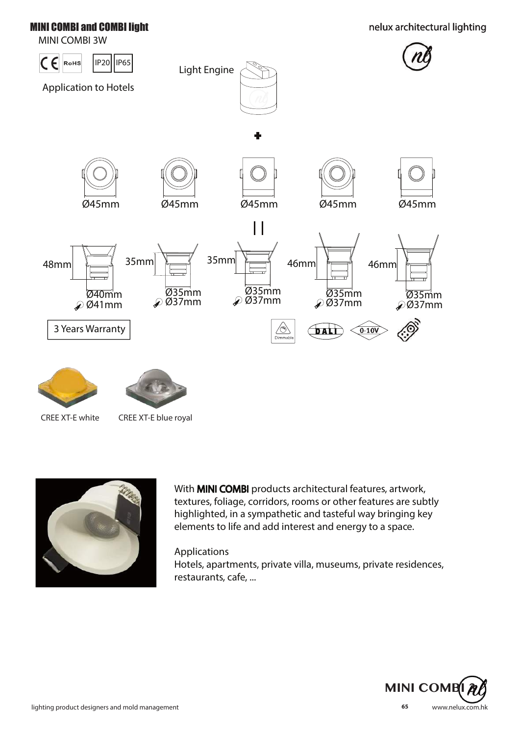# MINI COMBI 3W







CREE XT-E white CREE XT-E blue royal



With **MINI COMBI** products architectural features, artwork, textures, foliage, corridors, rooms or other features are subtly highlighted, in a sympathetic and tasteful way bringing key elements to life and add interest and energy to a space.

### Applications

Hotels, apartments, private villa, museums, private residences, restaurants, cafe, ...

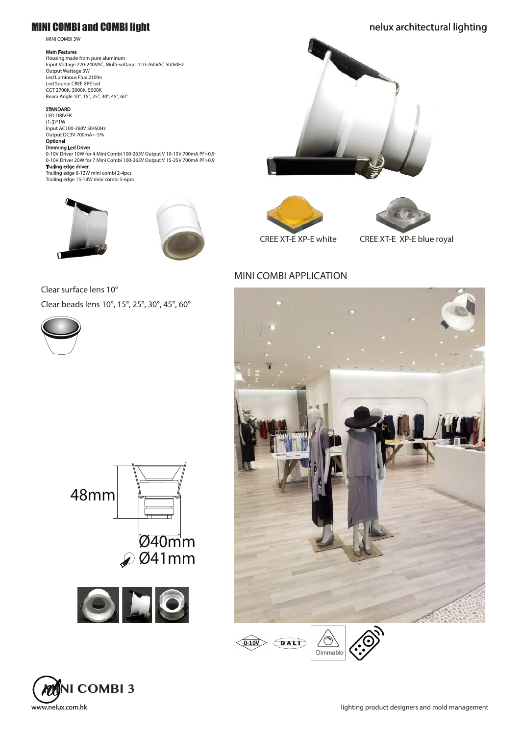#### MINI COMBI 3W

#### Main Features

Housing made from pure aluminum Input Voltage 220-240VAC, Multi-voltage 110-260VAC 50/60Hz Output Wattage 3W Led Luminous Flux 210lm Led Source CREE XPE led CCT 2700K, 3000K, 5000K Beam Angle 10°, 15°, 25°, 30°, 45°, 60°

#### **STANDARD**

LED DRIVER (1-3)\*1W Input AC100-260V 50/60Hz Output DC3V 700mA+-5%

#### Optional Dimming Led Driver

0-10V Driver 10W for 4 Mini Combi 100-265V Output V 10-15V 700mA PF>0.9 0-10V Driver 20W for 7 Mini Combi 100-265V Output V 15-25V 700mA PF>0.9 Trailing edge driver

Trailing edge 6-12W mini combi 2-4pcs Trailing edge 15-18W mini combi 5-6pcs





### Clear surface lens 10° Clear beads lens 10°, 15°, 25°, 30°, 45°, 60°













CREE XT-E XP-E white CREE XT-E XP-E blue royal

### MINI COMBI APPLICATION







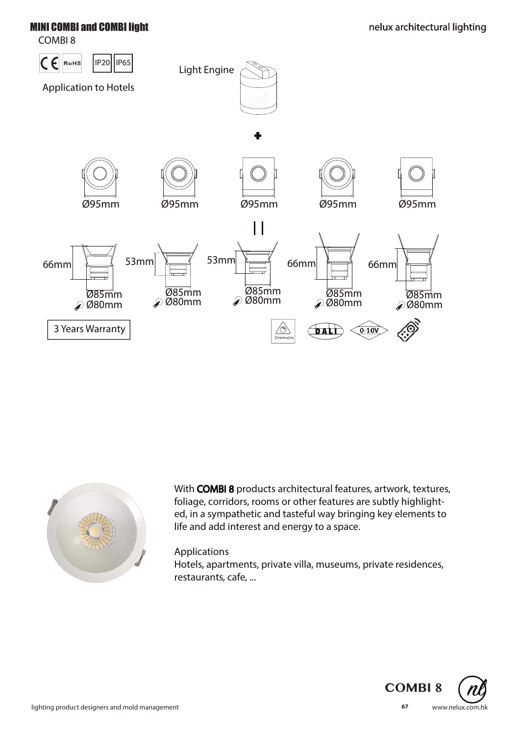COMBI 8





With COMBI 8 products architectural features, artwork, textures, foliage, corridors, rooms or other features are subtly highlighted, in a sympathetic and tasteful way bringing key elements to life and add interest and energy to a space.

### Applications

Hotels, apartments, private villa, museums, private residences, restaurants, cafe, ...